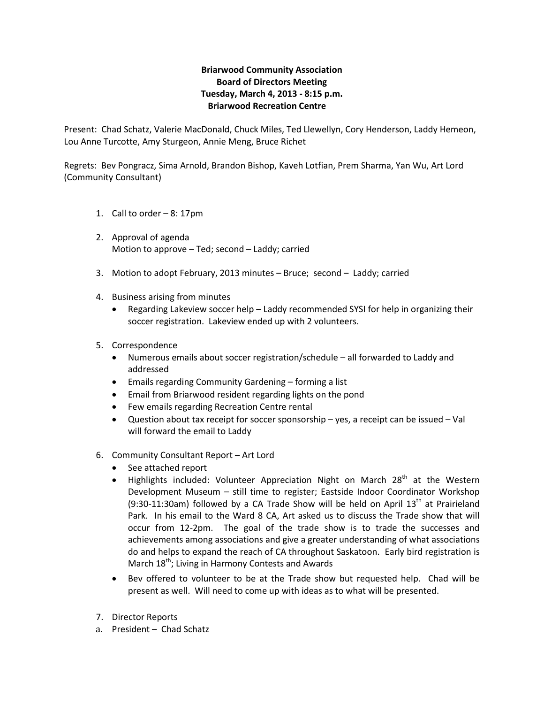## **Briarwood Community Association Board of Directors Meeting Tuesday, March 4, 2013 - 8:15 p.m. Briarwood Recreation Centre**

Present: Chad Schatz, Valerie MacDonald, Chuck Miles, Ted Llewellyn, Cory Henderson, Laddy Hemeon, Lou Anne Turcotte, Amy Sturgeon, Annie Meng, Bruce Richet

Regrets: Bev Pongracz, Sima Arnold, Brandon Bishop, Kaveh Lotfian, Prem Sharma, Yan Wu, Art Lord (Community Consultant)

- 1. Call to order 8: 17pm
- 2. Approval of agenda Motion to approve – Ted; second – Laddy; carried
- 3. Motion to adopt February, 2013 minutes Bruce; second Laddy; carried
- 4. Business arising from minutes
	- Regarding Lakeview soccer help Laddy recommended SYSI for help in organizing their soccer registration. Lakeview ended up with 2 volunteers.
- 5. Correspondence
	- Numerous emails about soccer registration/schedule all forwarded to Laddy and addressed
	- Emails regarding Community Gardening forming a list
	- Email from Briarwood resident regarding lights on the pond
	- Few emails regarding Recreation Centre rental
	- Question about tax receipt for soccer sponsorship yes, a receipt can be issued Val will forward the email to Laddy
- 6. Community Consultant Report Art Lord
	- See attached report
	- Highlights included: Volunteer Appreciation Night on March  $28<sup>th</sup>$  at the Western Development Museum – still time to register; Eastside Indoor Coordinator Workshop (9:30-11:30am) followed by a CA Trade Show will be held on April  $13<sup>th</sup>$  at Prairieland Park. In his email to the Ward 8 CA, Art asked us to discuss the Trade show that will occur from 12-2pm. The goal of the trade show is to trade the successes and achievements among associations and give a greater understanding of what associations do and helps to expand the reach of CA throughout Saskatoon. Early bird registration is March 18<sup>th</sup>; Living in Harmony Contests and Awards
	- Bev offered to volunteer to be at the Trade show but requested help. Chad will be present as well. Will need to come up with ideas as to what will be presented.
- 7. Director Reports
- a. President Chad Schatz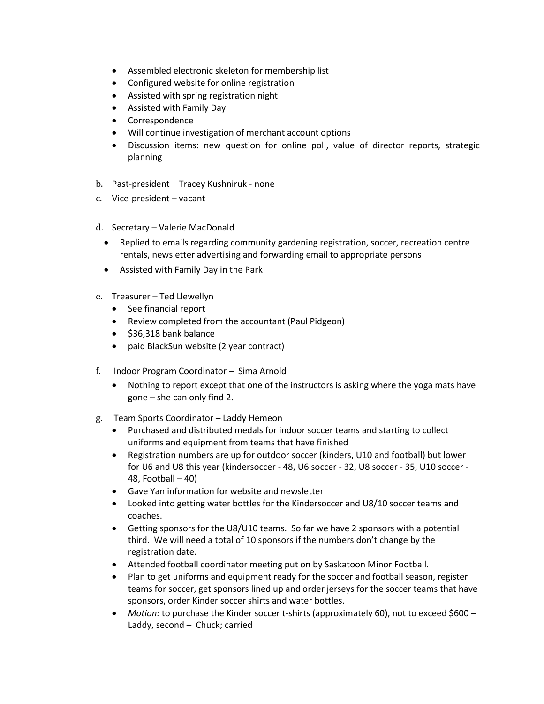- Assembled electronic skeleton for membership list
- Configured website for online registration
- Assisted with spring registration night
- Assisted with Family Day
- Correspondence
- Will continue investigation of merchant account options
- Discussion items: new question for online poll, value of director reports, strategic planning
- b. Past-president Tracey Kushniruk none
- c. Vice-president vacant
- d. Secretary Valerie MacDonald
	- Replied to emails regarding community gardening registration, soccer, recreation centre rentals, newsletter advertising and forwarding email to appropriate persons
	- Assisted with Family Day in the Park
- e. Treasurer Ted Llewellyn
	- See financial report
	- Review completed from the accountant (Paul Pidgeon)
	- \$36,318 bank balance
	- paid BlackSun website (2 year contract)
- f. Indoor Program Coordinator Sima Arnold
	- Nothing to report except that one of the instructors is asking where the yoga mats have gone – she can only find 2.
- g. Team Sports Coordinator Laddy Hemeon
	- Purchased and distributed medals for indoor soccer teams and starting to collect uniforms and equipment from teams that have finished
	- Registration numbers are up for outdoor soccer (kinders, U10 and football) but lower for U6 and U8 this year (kindersoccer - 48, U6 soccer - 32, U8 soccer - 35, U10 soccer - 48, Football – 40)
	- Gave Yan information for website and newsletter
	- Looked into getting water bottles for the Kindersoccer and U8/10 soccer teams and coaches.
	- Getting sponsors for the U8/U10 teams. So far we have 2 sponsors with a potential third. We will need a total of 10 sponsors if the numbers don't change by the registration date.
	- Attended football coordinator meeting put on by Saskatoon Minor Football.
	- Plan to get uniforms and equipment ready for the soccer and football season, register teams for soccer, get sponsors lined up and order jerseys for the soccer teams that have sponsors, order Kinder soccer shirts and water bottles.
	- *Motion:* to purchase the Kinder soccer t-shirts (approximately 60), not to exceed \$600 Laddy, second – Chuck; carried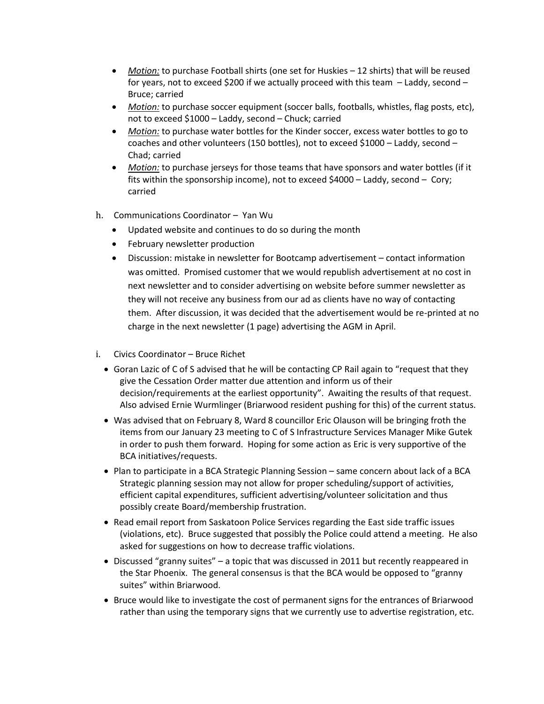- *Motion:* to purchase Football shirts (one set for Huskies 12 shirts) that will be reused for years, not to exceed \$200 if we actually proceed with this team – Laddy, second – Bruce; carried
- *Motion:* to purchase soccer equipment (soccer balls, footballs, whistles, flag posts, etc), not to exceed \$1000 – Laddy, second – Chuck; carried
- *Motion:* to purchase water bottles for the Kinder soccer, excess water bottles to go to coaches and other volunteers (150 bottles), not to exceed \$1000 – Laddy, second – Chad; carried
- *Motion:* to purchase jerseys for those teams that have sponsors and water bottles (if it fits within the sponsorship income), not to exceed \$4000 – Laddy, second – Cory; carried
- h. Communications Coordinator Yan Wu
	- Updated website and continues to do so during the month
	- February newsletter production
	- Discussion: mistake in newsletter for Bootcamp advertisement contact information was omitted. Promised customer that we would republish advertisement at no cost in next newsletter and to consider advertising on website before summer newsletter as they will not receive any business from our ad as clients have no way of contacting them. After discussion, it was decided that the advertisement would be re-printed at no charge in the next newsletter (1 page) advertising the AGM in April.
- i. Civics Coordinator Bruce Richet
	- Goran Lazic of C of S advised that he will be contacting CP Rail again to "request that they give the Cessation Order matter due attention and inform us of their decision/requirements at the earliest opportunity". Awaiting the results of that request. Also advised Ernie Wurmlinger (Briarwood resident pushing for this) of the current status.
	- Was advised that on February 8, Ward 8 councillor Eric Olauson will be bringing froth the items from our January 23 meeting to C of S Infrastructure Services Manager Mike Gutek in order to push them forward. Hoping for some action as Eric is very supportive of the BCA initiatives/requests.
	- Plan to participate in a BCA Strategic Planning Session same concern about lack of a BCA Strategic planning session may not allow for proper scheduling/support of activities, efficient capital expenditures, sufficient advertising/volunteer solicitation and thus possibly create Board/membership frustration.
	- Read email report from Saskatoon Police Services regarding the East side traffic issues (violations, etc). Bruce suggested that possibly the Police could attend a meeting. He also asked for suggestions on how to decrease traffic violations.
	- Discussed "granny suites" a topic that was discussed in 2011 but recently reappeared in the Star Phoenix. The general consensus is that the BCA would be opposed to "granny suites" within Briarwood.
	- Bruce would like to investigate the cost of permanent signs for the entrances of Briarwood rather than using the temporary signs that we currently use to advertise registration, etc.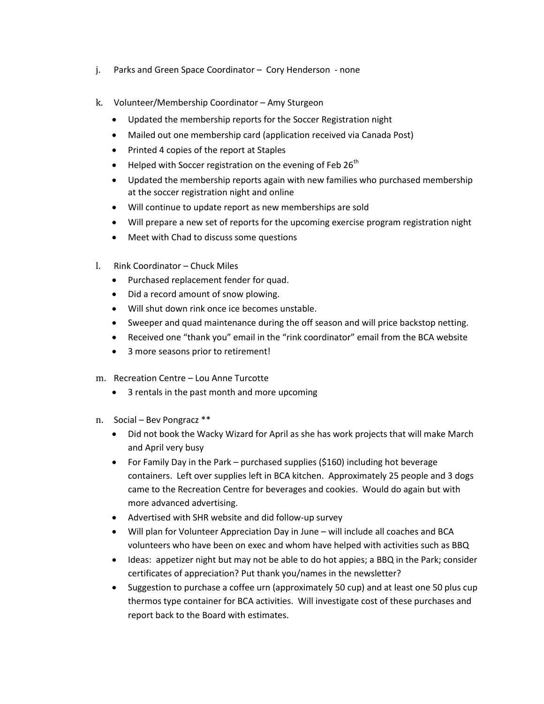- j. Parks and Green Space Coordinator Cory Henderson none
- k. Volunteer/Membership Coordinator Amy Sturgeon
	- Updated the membership reports for the Soccer Registration night
	- Mailed out one membership card (application received via Canada Post)
	- Printed 4 copies of the report at Staples
	- $\bullet$  Helped with Soccer registration on the evening of Feb 26<sup>th</sup>
	- Updated the membership reports again with new families who purchased membership at the soccer registration night and online
	- Will continue to update report as new memberships are sold
	- Will prepare a new set of reports for the upcoming exercise program registration night
	- Meet with Chad to discuss some questions
- l. Rink Coordinator Chuck Miles
	- Purchased replacement fender for quad.
	- Did a record amount of snow plowing.
	- Will shut down rink once ice becomes unstable.
	- Sweeper and quad maintenance during the off season and will price backstop netting.
	- Received one "thank you" email in the "rink coordinator" email from the BCA website
	- 3 more seasons prior to retirement!
- m. Recreation Centre Lou Anne Turcotte
	- 3 rentals in the past month and more upcoming
- n. Social Bev Pongracz \*\*
	- Did not book the Wacky Wizard for April as she has work projects that will make March and April very busy
	- For Family Day in the Park purchased supplies (\$160) including hot beverage containers. Left over supplies left in BCA kitchen. Approximately 25 people and 3 dogs came to the Recreation Centre for beverages and cookies. Would do again but with more advanced advertising.
	- Advertised with SHR website and did follow-up survey
	- Will plan for Volunteer Appreciation Day in June will include all coaches and BCA volunteers who have been on exec and whom have helped with activities such as BBQ
	- Ideas: appetizer night but may not be able to do hot appies; a BBQ in the Park; consider certificates of appreciation? Put thank you/names in the newsletter?
	- Suggestion to purchase a coffee urn (approximately 50 cup) and at least one 50 plus cup thermos type container for BCA activities. Will investigate cost of these purchases and report back to the Board with estimates.